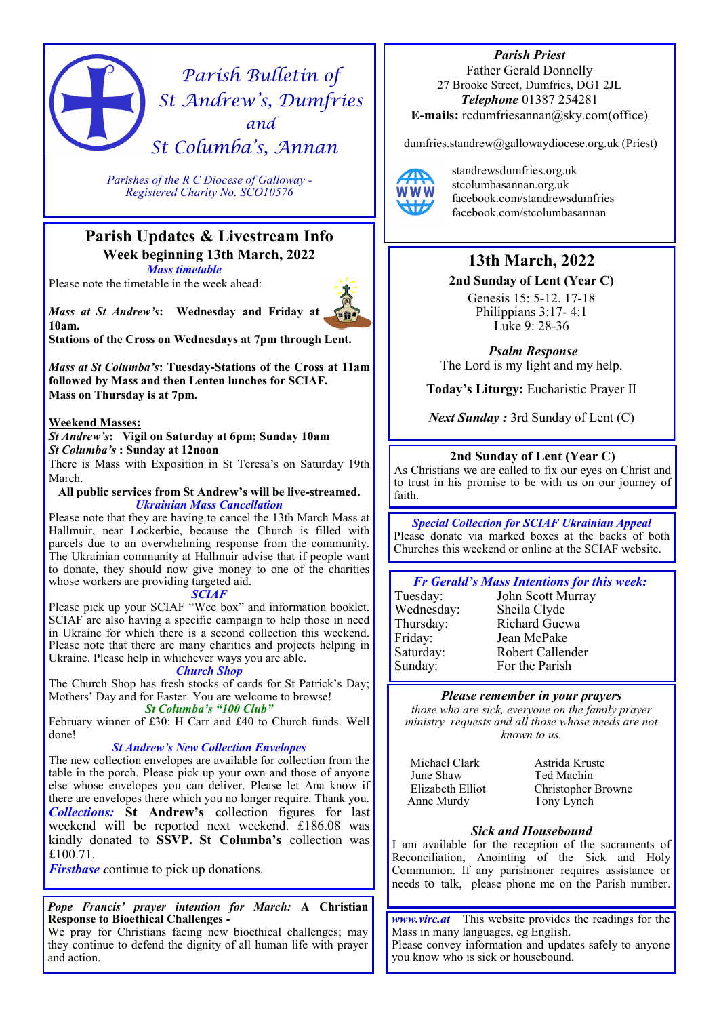# *Parish Bulletin of St Andrew's, Dumfries and St Columba's, Annan*

*Parishes of the R C Diocese of Galloway - Registered Charity No. SCO10576* 

## **Parish Updates & Livestream Info Week beginning 13th March, 2022** *Mass timetable*

Please note the timetable in the week ahead:

*Mass at St Andrew's***: Wednesday and Friday at 10am.** 

**Stations of the Cross on Wednesdays at 7pm through Lent.**

*Mass at St Columba's***: Tuesday-Stations of the Cross at 11am followed by Mass and then Lenten lunches for SCIAF. Mass on Thursday is at 7pm.**

## **Weekend Masses:**

*St Andrew's***: Vigil on Saturday at 6pm; Sunday 10am**  *St Columba's* **: Sunday at 12noon**

There is Mass with Exposition in St Teresa's on Saturday 19th March.

**All public services from St Andrew's will be live-streamed.**  *Ukrainian Mass Cancellation*

Please note that they are having to cancel the 13th March Mass at Hallmuir, near Lockerbie, because the Church is filled with parcels due to an overwhelming response from the community. The Ukrainian community at Hallmuir advise that if people want to donate, they should now give money to one of the charities whose workers are providing targeted aid.

## *SCIAF*

Please pick up your SCIAF "Wee box" and information booklet. SCIAF are also having a specific campaign to help those in need in Ukraine for which there is a second collection this weekend. Please note that there are many charities and projects helping in Ukraine. Please help in whichever ways you are able.

### *Church Shop*

The Church Shop has fresh stocks of cards for St Patrick's Day; Mothers' Day and for Easter. You are welcome to browse! *St Columba's "100 Club"*

February winner of £30: H Carr and £40 to Church funds. Well done!

## *St Andrew's New Collection Envelopes*

The new collection envelopes are available for collection from the table in the porch. Please pick up your own and those of anyone else whose envelopes you can deliver. Please let Ana know if there are envelopes there which you no longer require. Thank you. *Collections:* **St Andrew's** collection figures for last weekend will be reported next weekend. £186.08 was kindly donated to **SSVP. St Columba's** collection was £100.71.

*Firstbase* continue to pick up donations.

*Pope Francis' prayer intention for March:* **A Christian Response to Bioethical Challenges -**

We pray for Christians facing new bioethical challenges; may they continue to defend the dignity of all human life with prayer and action.

*Parish Priest*  Father Gerald Donnelly 27 Brooke Street, Dumfries, DG1 2JL *Telephone* 01387 254281 **E-mails:** rcdumfriesannan@sky.com(office)

dumfries.standrew@gallowaydiocese.org.uk (Priest)



standrewsdumfries.org.uk stcolumbasannan.org.uk facebook.com/standrewsdumfries facebook.com/stcolumbasannan

## **13th March, 2022**

**2nd Sunday of Lent (Year C)**

Genesis 15: 5-12. 17-18 Philippians 3:17- 4:1 Luke 9: 28-36

*Psalm Response*  The Lord is my light and my help.

**Today's Liturgy:** Eucharistic Prayer II

*Next Sunday :* 3rd Sunday of Lent (C)

## **2nd Sunday of Lent (Year C)**

As Christians we are called to fix our eyes on Christ and to trust in his promise to be with us on our journey of faith.

*Special Collection for SCIAF Ukrainian Appeal* Please donate via marked boxes at the backs of both Churches this weekend or online at the SCIAF website.

## *Fr Gerald's Mass Intentions for this week:*

Tuesday: John Scott Murray

Wednesday: Sheila Clyde Thursday: Richard Gucwa Friday: Jean McPake Saturday: Robert Callender Sunday: For the Parish

## *Please remember in your prayers*

*those who are sick, everyone on the family prayer ministry requests and all those whose needs are not known to us.* 

Michael Clark June Shaw Elizabeth Elliot Anne Murdy

Astrida Kruste Ted Machin Christopher Browne Tony Lynch

## *Sick and Housebound*

I am available for the reception of the sacraments of Reconciliation, Anointing of the Sick and Holy Communion. If any parishioner requires assistance or needs to talk, please phone me on the Parish number.

*www.virc.at* This website provides the readings for the Mass in many languages, eg English. Please convey information and updates safely to anyone you know who is sick or housebound.